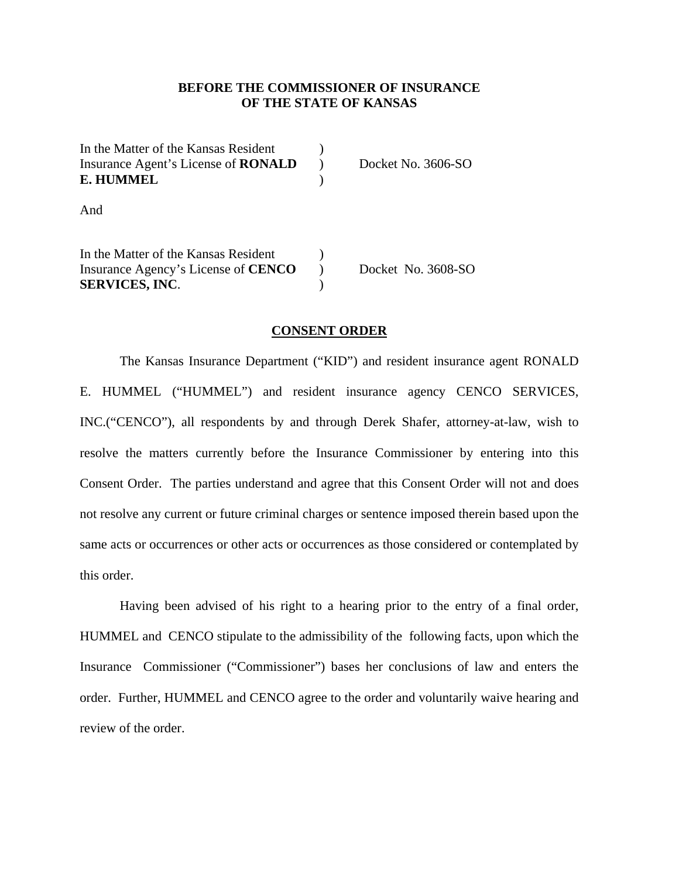### **BEFORE THE COMMISSIONER OF INSURANCE OF THE STATE OF KANSAS**

| In the Matter of the Kansas Resident<br>Insurance Agent's License of <b>RONALD</b><br><b>E. HUMMEL</b>      | Docket No. 3606-SO |
|-------------------------------------------------------------------------------------------------------------|--------------------|
| And                                                                                                         |                    |
| In the Matter of the Kansas Resident<br>Insurance Agency's License of <b>CENCO</b><br><b>SERVICES, INC.</b> | Docket No. 3608-SO |

#### **CONSENT ORDER**

The Kansas Insurance Department ("KID") and resident insurance agent RONALD E. HUMMEL ("HUMMEL") and resident insurance agency CENCO SERVICES, INC.("CENCO"), all respondents by and through Derek Shafer, attorney-at-law, wish to resolve the matters currently before the Insurance Commissioner by entering into this Consent Order. The parties understand and agree that this Consent Order will not and does not resolve any current or future criminal charges or sentence imposed therein based upon the same acts or occurrences or other acts or occurrences as those considered or contemplated by this order.

Having been advised of his right to a hearing prior to the entry of a final order, HUMMEL and CENCO stipulate to the admissibility of the following facts, upon which the Insurance Commissioner ("Commissioner") bases her conclusions of law and enters the order. Further, HUMMEL and CENCO agree to the order and voluntarily waive hearing and review of the order.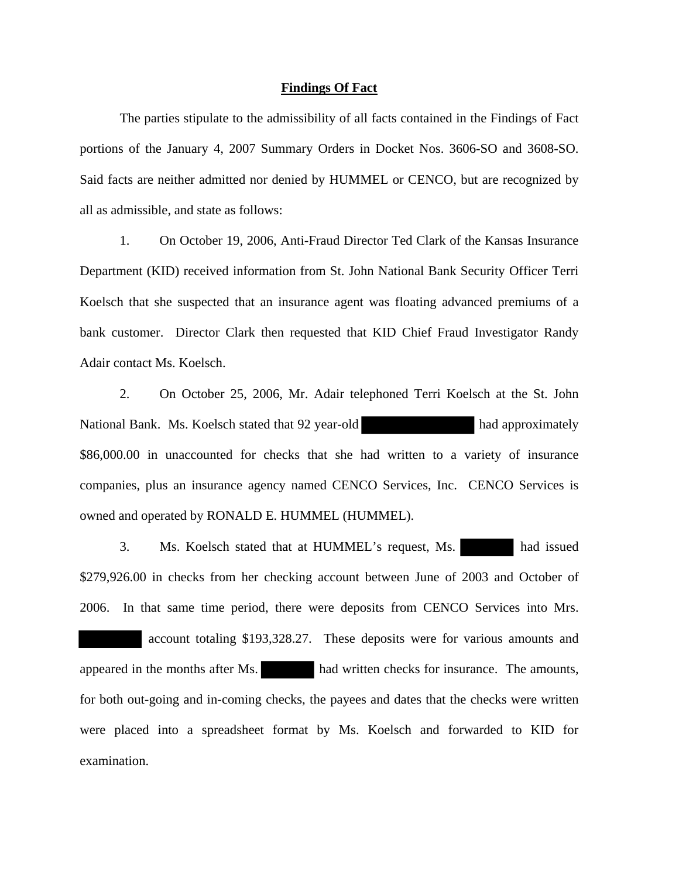#### **Findings Of Fact**

The parties stipulate to the admissibility of all facts contained in the Findings of Fact portions of the January 4, 2007 Summary Orders in Docket Nos. 3606-SO and 3608-SO. Said facts are neither admitted nor denied by HUMMEL or CENCO, but are recognized by all as admissible, and state as follows:

 1. On October 19, 2006, Anti-Fraud Director Ted Clark of the Kansas Insurance Department (KID) received information from St. John National Bank Security Officer Terri Koelsch that she suspected that an insurance agent was floating advanced premiums of a bank customer. Director Clark then requested that KID Chief Fraud Investigator Randy Adair contact Ms. Koelsch.

 2. On October 25, 2006, Mr. Adair telephoned Terri Koelsch at the St. John National Bank. Ms. Koelsch stated that 92 year-old had approximately \$86,000.00 in unaccounted for checks that she had written to a variety of insurance companies, plus an insurance agency named CENCO Services, Inc. CENCO Services is owned and operated by RONALD E. HUMMEL (HUMMEL).

 3. Ms. Koelsch stated that at HUMMEL's request, Ms. had issued \$279,926.00 in checks from her checking account between June of 2003 and October of 2006. In that same time period, there were deposits from CENCO Services into Mrs.

 account totaling \$193,328.27. These deposits were for various amounts and appeared in the months after Ms. had written checks for insurance. The amounts, for both out-going and in-coming checks, the payees and dates that the checks were written were placed into a spreadsheet format by Ms. Koelsch and forwarded to KID for examination.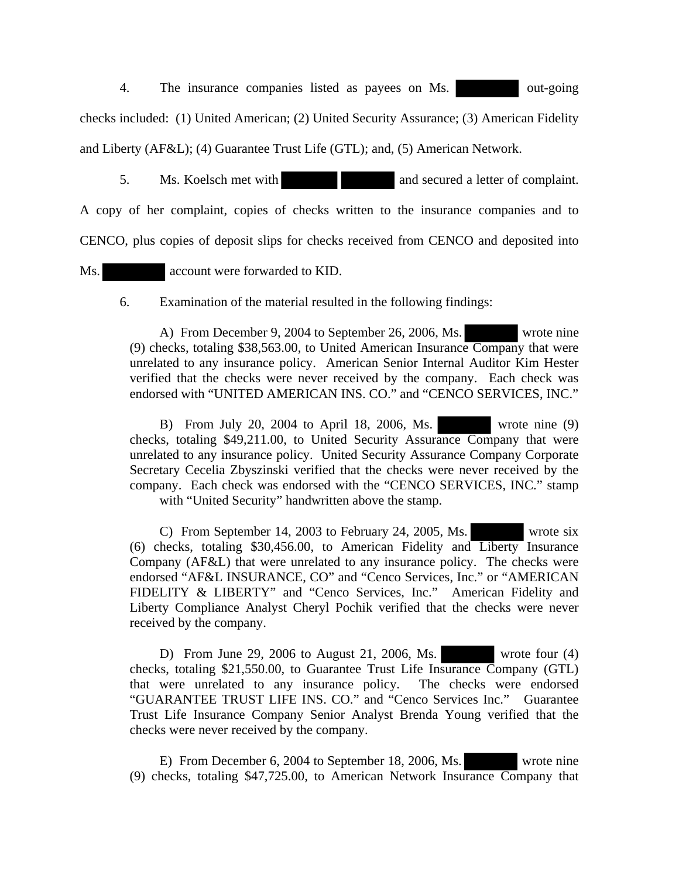4. The insurance companies listed as payees on Ms. out-going

checks included: (1) United American; (2) United Security Assurance; (3) American Fidelity and Liberty (AF&L); (4) Guarantee Trust Life (GTL); and, (5) American Network.

5. Ms. Koelsch met with and secured a letter of complaint.

A copy of her complaint, copies of checks written to the insurance companies and to

CENCO, plus copies of deposit slips for checks received from CENCO and deposited into

Ms. **account were forwarded to KID.** 

6. Examination of the material resulted in the following findings:

 A) From December 9, 2004 to September 26, 2006, Ms. wrote nine (9) checks, totaling \$38,563.00, to United American Insurance Company that were unrelated to any insurance policy. American Senior Internal Auditor Kim Hester verified that the checks were never received by the company. Each check was endorsed with "UNITED AMERICAN INS. CO." and "CENCO SERVICES, INC."

 B) From July 20, 2004 to April 18, 2006, Ms. wrote nine (9) checks, totaling \$49,211.00, to United Security Assurance Company that were unrelated to any insurance policy. United Security Assurance Company Corporate Secretary Cecelia Zbyszinski verified that the checks were never received by the company. Each check was endorsed with the "CENCO SERVICES, INC." stamp with "United Security" handwritten above the stamp.

 C) From September 14, 2003 to February 24, 2005, Ms. wrote six (6) checks, totaling \$30,456.00, to American Fidelity and Liberty Insurance Company (AF&L) that were unrelated to any insurance policy. The checks were endorsed "AF&L INSURANCE, CO" and "Cenco Services, Inc." or "AMERICAN FIDELITY & LIBERTY" and "Cenco Services, Inc." American Fidelity and Liberty Compliance Analyst Cheryl Pochik verified that the checks were never received by the company.

 D) From June 29, 2006 to August 21, 2006, Ms. wrote four (4) checks, totaling \$21,550.00, to Guarantee Trust Life Insurance Company (GTL) that were unrelated to any insurance policy. The checks were endorsed "GUARANTEE TRUST LIFE INS. CO." and "Cenco Services Inc." Guarantee Trust Life Insurance Company Senior Analyst Brenda Young verified that the checks were never received by the company.

 E) From December 6, 2004 to September 18, 2006, Ms. wrote nine (9) checks, totaling \$47,725.00, to American Network Insurance Company that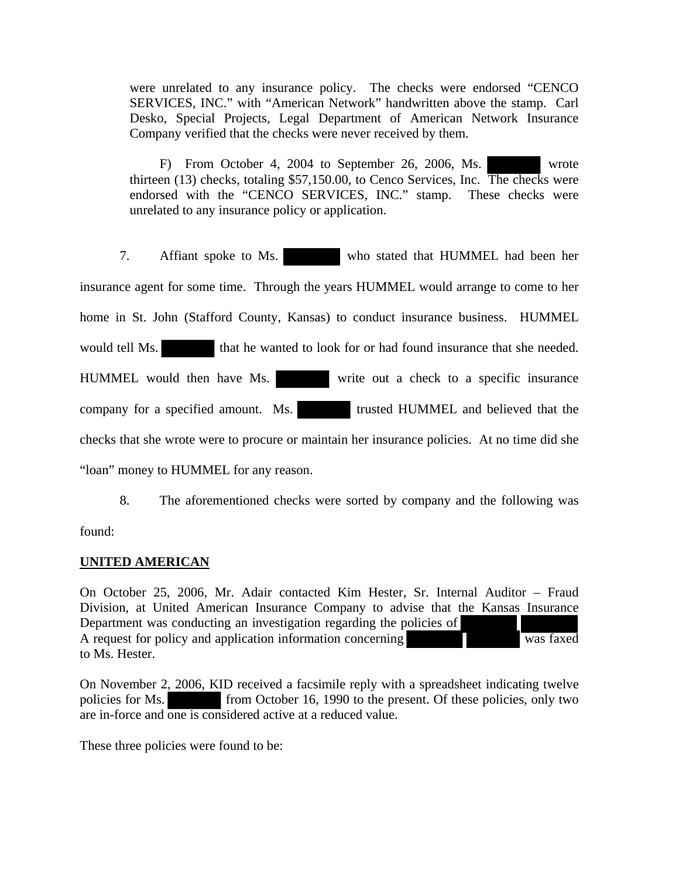were unrelated to any insurance policy. The checks were endorsed "CENCO SERVICES, INC." with "American Network" handwritten above the stamp. Carl Desko, Special Projects, Legal Department of American Network Insurance Company verified that the checks were never received by them.

 F) From October 4, 2004 to September 26, 2006, Ms. wrote thirteen (13) checks, totaling \$57,150.00, to Cenco Services, Inc. The checks were endorsed with the "CENCO SERVICES, INC." stamp. These checks were unrelated to any insurance policy or application.

 7. Affiant spoke to Ms. who stated that HUMMEL had been her insurance agent for some time. Through the years HUMMEL would arrange to come to her home in St. John (Stafford County, Kansas) to conduct insurance business. HUMMEL would tell Ms. that he wanted to look for or had found insurance that she needed. HUMMEL would then have Ms. write out a check to a specific insurance company for a specified amount. Ms. trusted HUMMEL and believed that the checks that she wrote were to procure or maintain her insurance policies. At no time did she "loan" money to HUMMEL for any reason.

8. The aforementioned checks were sorted by company and the following was

found:

## **UNITED AMERICAN**

On October 25, 2006, Mr. Adair contacted Kim Hester, Sr. Internal Auditor – Fraud Division, at United American Insurance Company to advise that the Kansas Insurance Department was conducting an investigation regarding the policies of A request for policy and application information concerning was faxed to Ms. Hester.

On November 2, 2006, KID received a facsimile reply with a spreadsheet indicating twelve policies for Ms. from October 16, 1990 to the present. Of these policies, only two are in-force and one is considered active at a reduced value.

These three policies were found to be: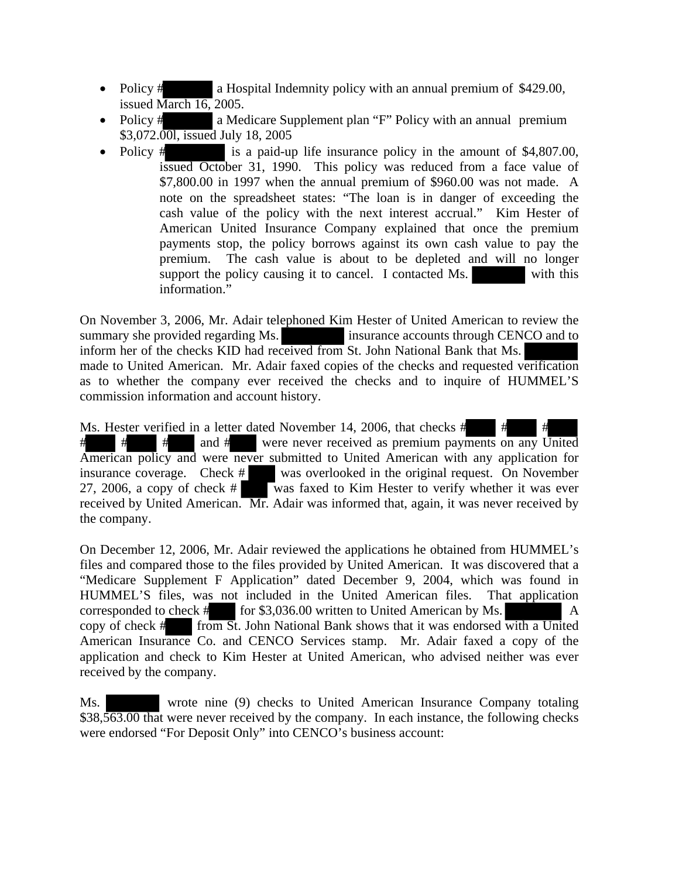- Policy # a Hospital Indemnity policy with an annual premium of \$429.00, issued March 16, 2005.
- Policy # a Medicare Supplement plan "F" Policy with an annual premium \$3,072.00l, issued July 18, 2005
- Policy # is a paid-up life insurance policy in the amount of \$4,807.00, issued October 31, 1990. This policy was reduced from a face value of \$7,800.00 in 1997 when the annual premium of \$960.00 was not made. A note on the spreadsheet states: "The loan is in danger of exceeding the cash value of the policy with the next interest accrual." Kim Hester of American United Insurance Company explained that once the premium payments stop, the policy borrows against its own cash value to pay the premium. The cash value is about to be depleted and will no longer support the policy causing it to cancel. I contacted Ms. with this information."

On November 3, 2006, Mr. Adair telephoned Kim Hester of United American to review the summary she provided regarding Ms. insurance accounts through CENCO and to inform her of the checks KID had received from St. John National Bank that Ms. made to United American. Mr. Adair faxed copies of the checks and requested verification as to whether the company ever received the checks and to inquire of HUMMEL'S commission information and account history.

Ms. Hester verified in a letter dated November 14, 2006, that checks # # # # and # were never received as premium payments on any United American policy and were never submitted to United American with any application for insurance coverage. Check  $#$  was overlooked in the original request. On November 27, 2006, a copy of check # was faxed to Kim Hester to verify whether it was ever received by United American. Mr. Adair was informed that, again, it was never received by the company.

On December 12, 2006, Mr. Adair reviewed the applications he obtained from HUMMEL's files and compared those to the files provided by United American. It was discovered that a "Medicare Supplement F Application" dated December 9, 2004, which was found in HUMMEL'S files, was not included in the United American files. That application corresponded to check # for \$3,036.00 written to United American by Ms. A copy of check # from St. John National Bank shows that it was endorsed with a United American Insurance Co. and CENCO Services stamp. Mr. Adair faxed a copy of the application and check to Kim Hester at United American, who advised neither was ever received by the company.

Ms. wrote nine (9) checks to United American Insurance Company totaling \$38,563.00 that were never received by the company. In each instance, the following checks were endorsed "For Deposit Only" into CENCO's business account: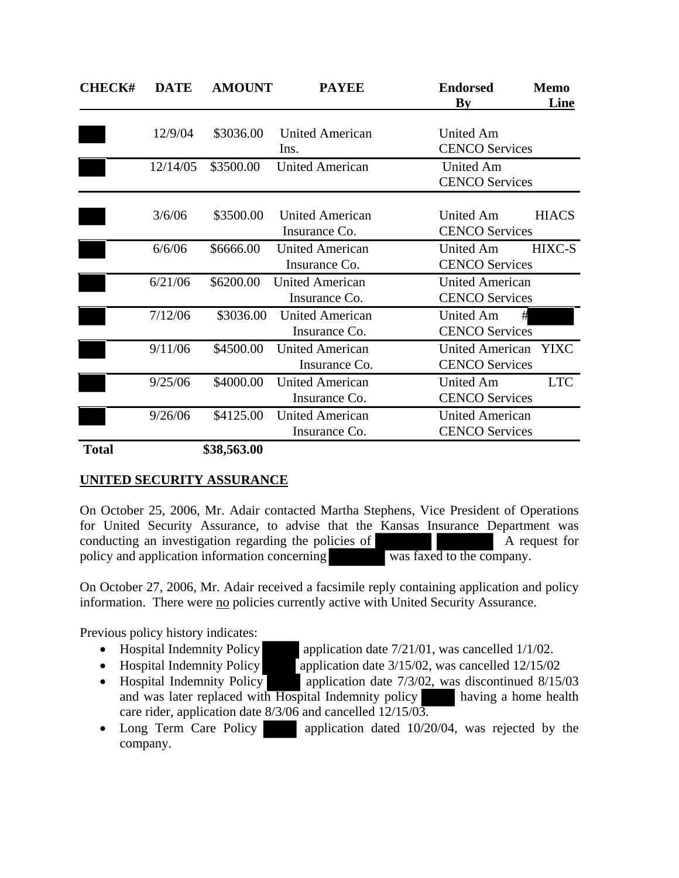| <b>CHECK#</b> | <b>DATE</b> | <b>AMOUNT</b> | <b>PAYEE</b>                            | <b>Endorsed</b><br>By                           | <b>Memo</b><br>Line |
|---------------|-------------|---------------|-----------------------------------------|-------------------------------------------------|---------------------|
|               | 12/9/04     | \$3036.00     | <b>United American</b><br>Ins.          | <b>United Am</b><br><b>CENCO Services</b>       |                     |
|               | 12/14/05    | \$3500.00     | <b>United American</b>                  | United Am<br><b>CENCO Services</b>              |                     |
|               | 3/6/06      | \$3500.00     | <b>United American</b><br>Insurance Co. | United Am<br><b>CENCO Services</b>              | <b>HIACS</b>        |
|               | 6/6/06      | \$6666.00     | <b>United American</b><br>Insurance Co. | United Am<br><b>CENCO Services</b>              | HIXC-S              |
|               | 6/21/06     | \$6200.00     | <b>United American</b><br>Insurance Co. | <b>United American</b><br><b>CENCO Services</b> |                     |
|               | 7/12/06     | \$3036.00     | <b>United American</b><br>Insurance Co. | <b>United Am</b><br>#<br><b>CENCO Services</b>  |                     |
|               | 9/11/06     | \$4500.00     | <b>United American</b><br>Insurance Co. | <b>United American</b><br><b>CENCO Services</b> | <b>YIXC</b>         |
|               | 9/25/06     | \$4000.00     | <b>United American</b><br>Insurance Co. | <b>United Am</b><br><b>CENCO Services</b>       | <b>LTC</b>          |
|               | 9/26/06     | \$4125.00     | <b>United American</b><br>Insurance Co. | <b>United American</b><br><b>CENCO Services</b> |                     |
|               |             |               |                                         |                                                 |                     |

**Total \$38,563.00** 

## **UNITED SECURITY ASSURANCE**

On October 25, 2006, Mr. Adair contacted Martha Stephens, Vice President of Operations for United Security Assurance, to advise that the Kansas Insurance Department was conducting an investigation regarding the policies of A request for policy and application information concerning was faxed to the company.

On October 27, 2006, Mr. Adair received a facsimile reply containing application and policy information. There were no policies currently active with United Security Assurance.

Previous policy history indicates:

- Hospital Indemnity Policy application date  $7/21/01$ , was cancelled  $1/1/02$ .
- Hospital Indemnity Policy application date  $3/15/02$ , was cancelled  $12/15/02$
- Hospital Indemnity Policy application date  $7/3/02$ , was discontinued  $8/15/03$ and was later replaced with Hospital Indemnity policy having a home health care rider, application date 8/3/06 and cancelled 12/15/03.
- Long Term Care Policy application dated 10/20/04, was rejected by the company.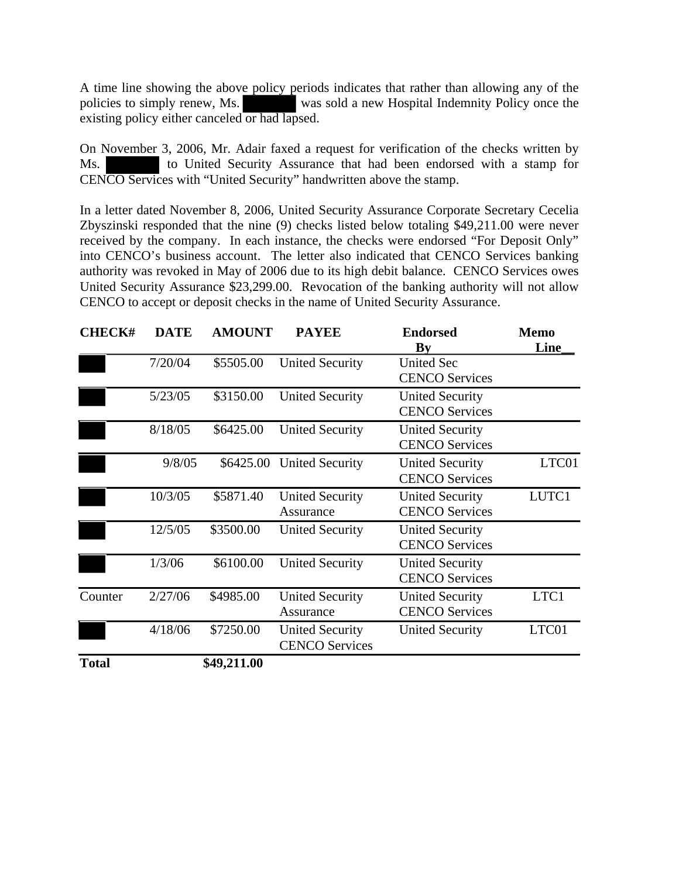A time line showing the above policy periods indicates that rather than allowing any of the policies to simply renew, Ms. was sold a new Hospital Indemnity Policy once the existing policy either canceled or had lapsed.

On November 3, 2006, Mr. Adair faxed a request for verification of the checks written by Ms. to United Security Assurance that had been endorsed with a stamp for CENCO Services with "United Security" handwritten above the stamp.

In a letter dated November 8, 2006, United Security Assurance Corporate Secretary Cecelia Zbyszinski responded that the nine (9) checks listed below totaling \$49,211.00 were never received by the company. In each instance, the checks were endorsed "For Deposit Only" into CENCO's business account. The letter also indicated that CENCO Services banking authority was revoked in May of 2006 due to its high debit balance. CENCO Services owes United Security Assurance \$23,299.00. Revocation of the banking authority will not allow CENCO to accept or deposit checks in the name of United Security Assurance.

| <b>CHECK#</b> | <b>DATE</b> | <b>AMOUNT</b> | <b>PAYEE</b>                                    | <b>Endorsed</b><br>By                           | <b>Memo</b><br>Line |
|---------------|-------------|---------------|-------------------------------------------------|-------------------------------------------------|---------------------|
|               | 7/20/04     | \$5505.00     | <b>United Security</b>                          | <b>United Sec</b><br><b>CENCO Services</b>      |                     |
|               | 5/23/05     | \$3150.00     | <b>United Security</b>                          | <b>United Security</b><br><b>CENCO Services</b> |                     |
|               | 8/18/05     | \$6425.00     | <b>United Security</b>                          | <b>United Security</b><br><b>CENCO Services</b> |                     |
|               | 9/8/05      | \$6425.00     | <b>United Security</b>                          | <b>United Security</b><br><b>CENCO Services</b> | LTC01               |
|               | 10/3/05     | \$5871.40     | <b>United Security</b><br>Assurance             | <b>United Security</b><br><b>CENCO Services</b> | LUTC1               |
|               | 12/5/05     | \$3500.00     | <b>United Security</b>                          | <b>United Security</b><br><b>CENCO Services</b> |                     |
|               | 1/3/06      | \$6100.00     | <b>United Security</b>                          | <b>United Security</b><br><b>CENCO Services</b> |                     |
| Counter       | 2/27/06     | \$4985.00     | <b>United Security</b><br>Assurance             | <b>United Security</b><br><b>CENCO Services</b> | LTC1                |
|               | 4/18/06     | \$7250.00     | <b>United Security</b><br><b>CENCO Services</b> | <b>United Security</b>                          | LTC01               |
| <b>Total</b>  |             | \$49,211.00   |                                                 |                                                 |                     |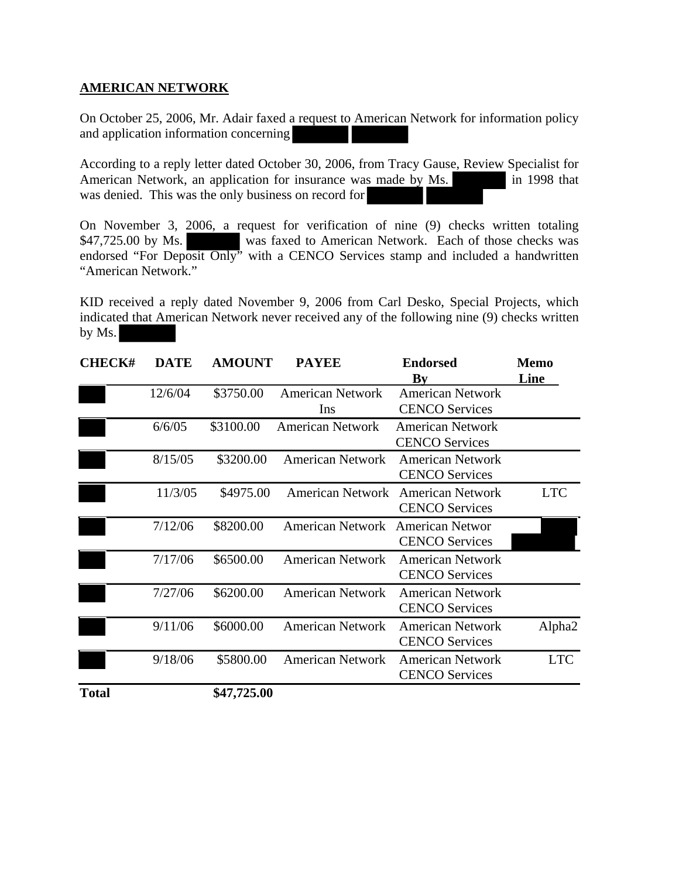## **AMERICAN NETWORK**

On October 25, 2006, Mr. Adair faxed a request to American Network for information policy and application information concerning

According to a reply letter dated October 30, 2006, from Tracy Gause, Review Specialist for American Network, an application for insurance was made by Ms. in 1998 that was denied. This was the only business on record for

On November 3, 2006, a request for verification of nine (9) checks written totaling \$47,725.00 by Ms. was faxed to American Network. Each of those checks was endorsed "For Deposit Only" with a CENCO Services stamp and included a handwritten "American Network."

KID received a reply dated November 9, 2006 from Carl Desko, Special Projects, which indicated that American Network never received any of the following nine (9) checks written by Ms.

| <b>CHECK#</b> | <b>DATE</b> | <b>AMOUNT</b> | <b>PAYEE</b>                   | <b>Endorsed</b><br>$\mathbf{B}\mathbf{v}$        | <b>Memo</b><br>Line |
|---------------|-------------|---------------|--------------------------------|--------------------------------------------------|---------------------|
|               | 12/6/04     | \$3750.00     | <b>American Network</b><br>Ins | <b>American Network</b><br><b>CENCO Services</b> |                     |
|               | 6/6/05      | \$3100.00     | <b>American Network</b>        | <b>American Network</b><br><b>CENCO Services</b> |                     |
|               | 8/15/05     | \$3200.00     | <b>American Network</b>        | <b>American Network</b><br><b>CENCO Services</b> |                     |
|               | 11/3/05     | \$4975.00     | <b>American Network</b>        | <b>American Network</b><br><b>CENCO Services</b> | <b>LTC</b>          |
|               | 7/12/06     | \$8200.00     | <b>American Network</b>        | <b>American Networ</b><br><b>CENCO Services</b>  |                     |
|               | 7/17/06     | \$6500.00     | <b>American Network</b>        | <b>American Network</b><br><b>CENCO Services</b> |                     |
|               | 7/27/06     | \$6200.00     | <b>American Network</b>        | <b>American Network</b><br><b>CENCO Services</b> |                     |
|               | 9/11/06     | \$6000.00     | <b>American Network</b>        | <b>American Network</b><br><b>CENCO Services</b> | Alpha <sub>2</sub>  |
|               | 9/18/06     | \$5800.00     | <b>American Network</b>        | <b>American Network</b><br><b>CENCO Services</b> | <b>LTC</b>          |
| <b>Total</b>  |             | \$47,725.00   |                                |                                                  |                     |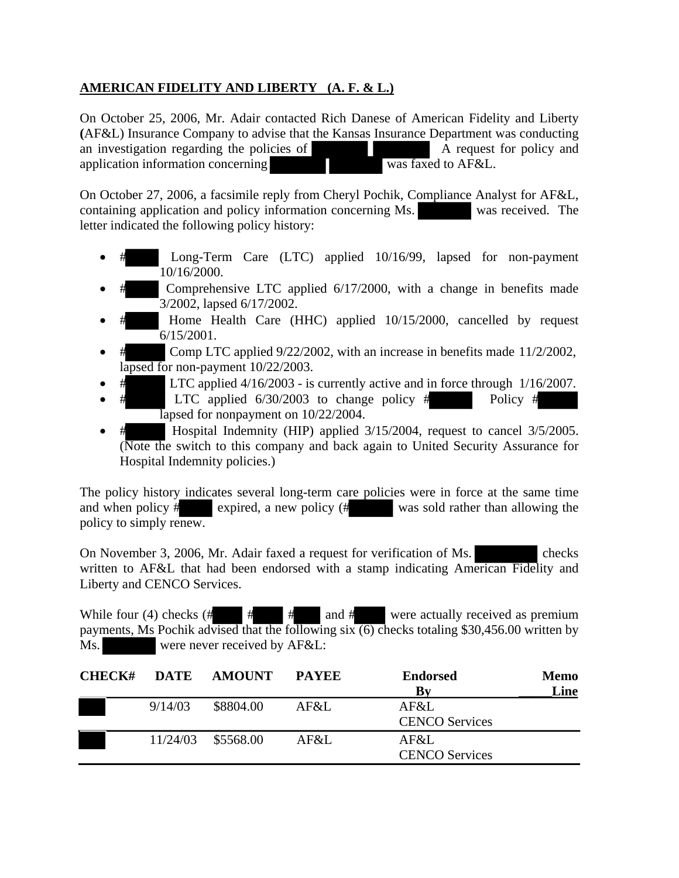# **AMERICAN FIDELITY AND LIBERTY (A. F. & L.)**

On October 25, 2006, Mr. Adair contacted Rich Danese of American Fidelity and Liberty **(**AF&L) Insurance Company to advise that the Kansas Insurance Department was conducting an investigation regarding the policies of A request for policy and application information concerning was faxed to AF&L.

On October 27, 2006, a facsimile reply from Cheryl Pochik, Compliance Analyst for AF&L, containing application and policy information concerning Ms. was received. The letter indicated the following policy history:

- Long-Term Care (LTC) applied 10/16/99, lapsed for non-payment 10/16/2000.
- Comprehensive LTC applied 6/17/2000, with a change in benefits made 3/2002, lapsed 6/17/2002.
- Home Health Care (HHC) applied 10/15/2000, cancelled by request 6/15/2001.
- Comp LTC applied  $9/22/2002$ , with an increase in benefits made  $11/2/2002$ , lapsed for non-payment 10/22/2003.
- LTC applied  $4/16/2003$  is currently active and in force through  $1/16/2007$ .
- LTC applied  $6/30/2003$  to change policy # Policy # lapsed for nonpayment on 10/22/2004.
- # Hospital Indemnity (HIP) applied  $3/15/2004$ , request to cancel  $3/5/2005$ . (Note the switch to this company and back again to United Security Assurance for Hospital Indemnity policies.)

The policy history indicates several long-term care policies were in force at the same time and when policy  $\#$  expired, a new policy ( $\#$  was sold rather than allowing the policy to simply renew.

On November 3, 2006, Mr. Adair faxed a request for verification of Ms. checks written to AF&L that had been endorsed with a stamp indicating American Fidelity and Liberty and CENCO Services.

While four (4) checks (#  $\#$  # and # were actually received as premium payments, Ms Pochik advised that the following six (6) checks totaling \$30,456.00 written by Ms. were never received by AF&L:

| <b>CHECK#</b> |          | DATE AMOUNT | <b>PAYEE</b> | <b>Endorsed</b>       | <b>Memo</b> |
|---------------|----------|-------------|--------------|-----------------------|-------------|
|               |          |             |              | Bv                    | Line        |
|               | 9/14/03  | \$8804.00   | AF&L         | AF&L                  |             |
|               |          |             |              | <b>CENCO Services</b> |             |
|               | 11/24/03 | \$5568.00   | AF&L         | AF&L                  |             |
|               |          |             |              | <b>CENCO Services</b> |             |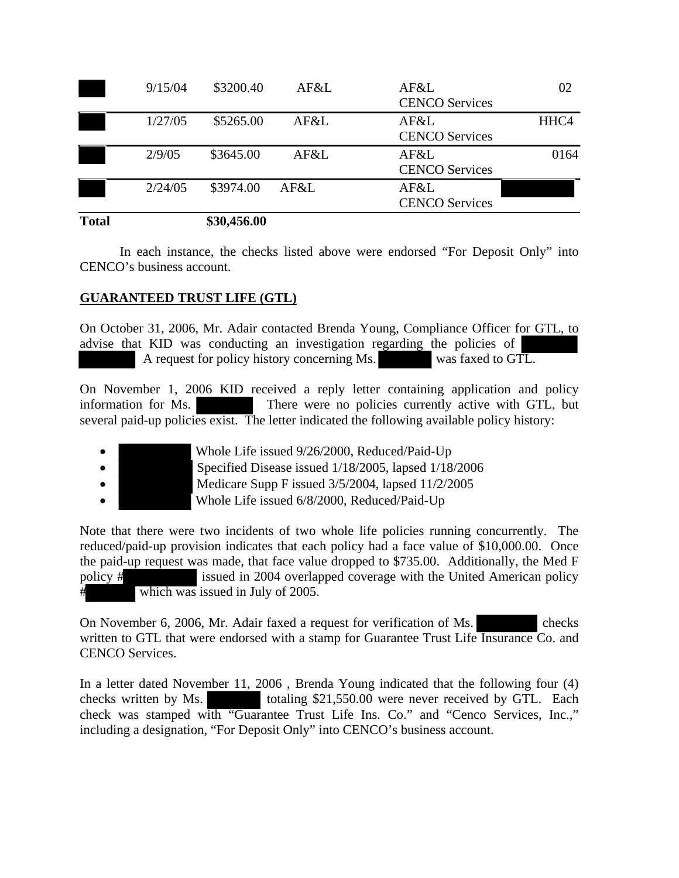| <b>Total</b> |         | \$30,456,00 |      |                               |      |
|--------------|---------|-------------|------|-------------------------------|------|
|              | 2/24/05 | \$3974.00   | AF&L | AF&L<br><b>CENCO Services</b> |      |
|              | 2/9/05  | \$3645.00   | AF&L | AF&L<br><b>CENCO Services</b> | 0164 |
|              | 1/27/05 | \$5265.00   | AF&L | AF&L<br><b>CENCO Services</b> | HHC4 |
|              | 9/15/04 | \$3200.40   | AF&L | AF&L<br><b>CENCO Services</b> | 02   |

In each instance, the checks listed above were endorsed "For Deposit Only" into CENCO's business account.

## **GUARANTEED TRUST LIFE (GTL)**

On October 31, 2006, Mr. Adair contacted Brenda Young, Compliance Officer for GTL, to advise that KID was conducting an investigation regarding the policies of A request for policy history concerning Ms. was faxed to GTL.

On November 1, 2006 KID received a reply letter containing application and policy information for Ms. There were no policies currently active with GTL, but several paid-up policies exist. The letter indicated the following available policy history:

• Whole Life issued 9/26/2000, Reduced/Paid-Up

• Specified Disease issued 1/18/2005, lapsed 1/18/2006

• Medicare Supp F issued 3/5/2004, lapsed 11/2/2005

• Whole Life issued 6/8/2000, Reduced/Paid-Up

Note that there were two incidents of two whole life policies running concurrently. The reduced/paid-up provision indicates that each policy had a face value of \$10,000.00. Once the paid-up request was made, that face value dropped to \$735.00. Additionally, the Med F policy # issued in 2004 overlapped coverage with the United American policy which was issued in July of 2005.

On November 6, 2006, Mr. Adair faxed a request for verification of Ms. checks written to GTL that were endorsed with a stamp for Guarantee Trust Life Insurance Co. and CENCO Services.

In a letter dated November 11, 2006 , Brenda Young indicated that the following four (4) checks written by Ms. totaling \$21,550.00 were never received by GTL. Each check was stamped with "Guarantee Trust Life Ins. Co." and "Cenco Services, Inc.," including a designation, "For Deposit Only" into CENCO's business account.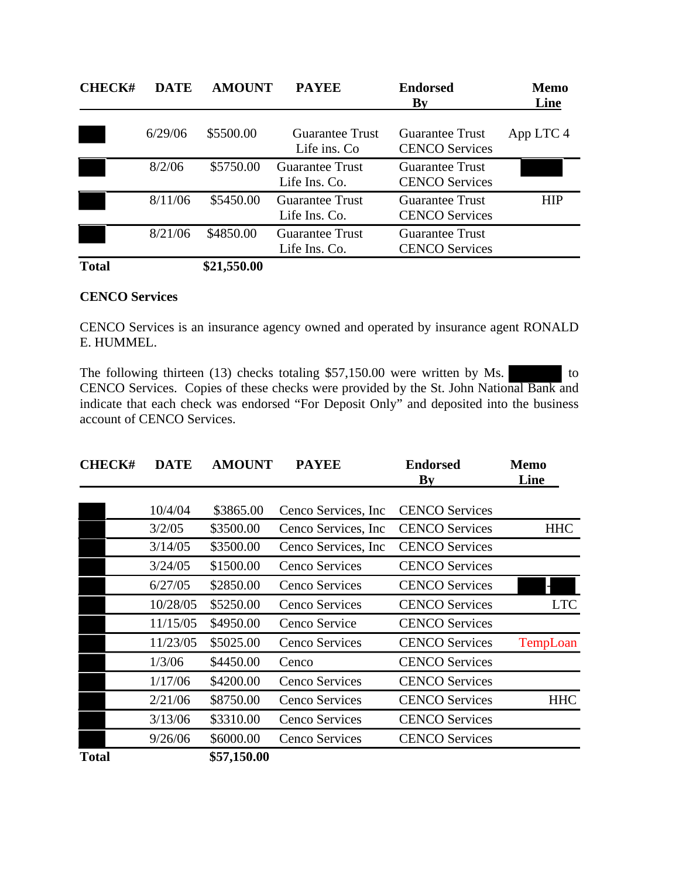| <b>CHECK#</b> | <b>DATE</b> | <b>AMOUNT</b>     | <b>PAYEE</b>                            | <b>Endorsed</b><br>$\mathbf{B}\mathbf{v}$       | <b>Memo</b><br>Line |
|---------------|-------------|-------------------|-----------------------------------------|-------------------------------------------------|---------------------|
|               | 6/29/06     | \$5500.00         | <b>Guarantee Trust</b><br>Life ins. Co. | <b>Guarantee Trust</b><br><b>CENCO Services</b> | App LTC 4           |
|               | 8/2/06      | \$5750.00         | <b>Guarantee Trust</b><br>Life Ins. Co. | <b>Guarantee Trust</b><br><b>CENCO Services</b> |                     |
|               | 8/11/06     | \$5450.00         | <b>Guarantee Trust</b><br>Life Ins. Co. | <b>Guarantee Trust</b><br><b>CENCO Services</b> | <b>HIP</b>          |
|               | 8/21/06     | \$4850.00         | <b>Guarantee Trust</b><br>Life Ins. Co. | <b>Guarantee Trust</b><br><b>CENCO Services</b> |                     |
| $T - 1$       |             | <u>ልኅ1 ፫፫ስ ስስ</u> |                                         |                                                 |                     |

**Total \$21,550.00** 

#### **CENCO Services**

CENCO Services is an insurance agency owned and operated by insurance agent RONALD E. HUMMEL.

The following thirteen (13) checks totaling \$57,150.00 were written by Ms. to CENCO Services. Copies of these checks were provided by the St. John National Bank and indicate that each check was endorsed "For Deposit Only" and deposited into the business account of CENCO Services.

| <b>CHECK#</b> | <b>DATE</b> | <b>AMOUNT</b> | <b>PAYEE</b>         | <b>Endorsed</b>        | <b>Memo</b> |
|---------------|-------------|---------------|----------------------|------------------------|-------------|
|               |             |               |                      | $\mathbf{B}\mathbf{v}$ | Line        |
|               |             |               |                      |                        |             |
|               | 10/4/04     | \$3865.00     | Cenco Services, Inc. | <b>CENCO Services</b>  |             |
|               | 3/2/05      | \$3500.00     | Cenco Services, Inc. | <b>CENCO Services</b>  | <b>HHC</b>  |
|               | 3/14/05     | \$3500.00     | Cenco Services, Inc. | <b>CENCO Services</b>  |             |
|               | 3/24/05     | \$1500.00     | Cenco Services       | <b>CENCO Services</b>  |             |
|               | 6/27/05     | \$2850.00     | Cenco Services       | <b>CENCO Services</b>  |             |
|               | 10/28/05    | \$5250.00     | Cenco Services       | <b>CENCO Services</b>  | <b>LTC</b>  |
|               | 11/15/05    | \$4950.00     | Cenco Service        | <b>CENCO Services</b>  |             |
|               | 11/23/05    | \$5025.00     | Cenco Services       | <b>CENCO Services</b>  | TempLoan    |
|               | 1/3/06      | \$4450.00     | Cenco                | <b>CENCO Services</b>  |             |
|               | 1/17/06     | \$4200.00     | Cenco Services       | <b>CENCO Services</b>  |             |
|               | 2/21/06     | \$8750.00     | Cenco Services       | <b>CENCO Services</b>  | <b>HHC</b>  |
|               | 3/13/06     | \$3310.00     | Cenco Services       | <b>CENCO Services</b>  |             |
|               | 9/26/06     | \$6000.00     | Cenco Services       | <b>CENCO Services</b>  |             |
| <b>Total</b>  |             | \$57,150.00   |                      |                        |             |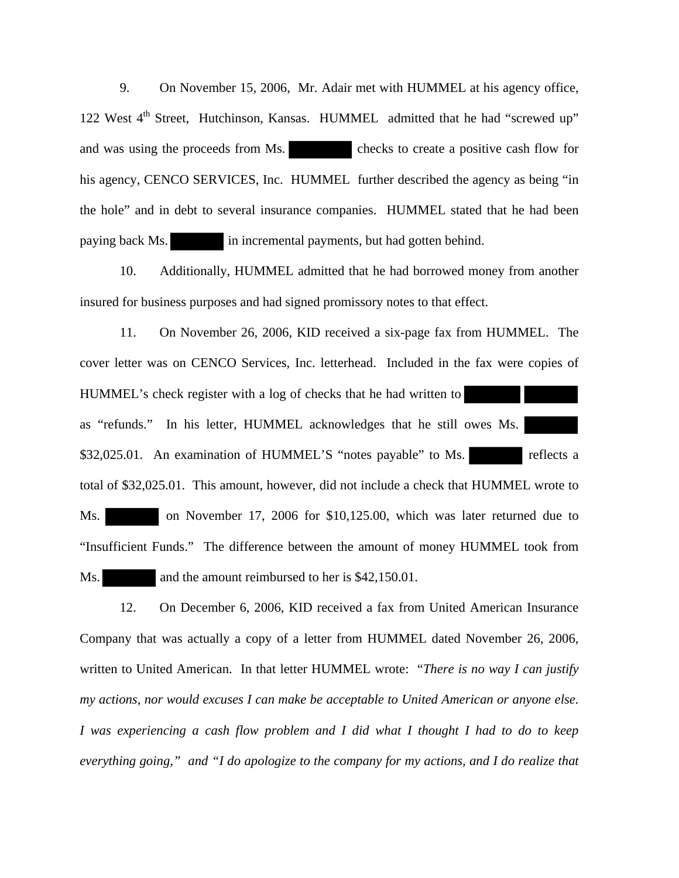9. On November 15, 2006, Mr. Adair met with HUMMEL at his agency office, 122 West  $4<sup>th</sup>$  Street, Hutchinson, Kansas. HUMMEL admitted that he had "screwed up" and was using the proceeds from Ms. checks to create a positive cash flow for his agency, CENCO SERVICES, Inc. HUMMEL further described the agency as being "in the hole" and in debt to several insurance companies. HUMMEL stated that he had been paying back Ms. in incremental payments, but had gotten behind.

 10. Additionally, HUMMEL admitted that he had borrowed money from another insured for business purposes and had signed promissory notes to that effect.

 11. On November 26, 2006, KID received a six-page fax from HUMMEL. The cover letter was on CENCO Services, Inc. letterhead. Included in the fax were copies of HUMMEL's check register with a log of checks that he had written to as "refunds." In his letter, HUMMEL acknowledges that he still owes Ms. \$32,025.01. An examination of HUMMEL'S "notes payable" to Ms. reflects a total of \$32,025.01. This amount, however, did not include a check that HUMMEL wrote to Ms. on November 17, 2006 for \$10,125.00, which was later returned due to "Insufficient Funds." The difference between the amount of money HUMMEL took from Ms. and the amount reimbursed to her is \$42,150.01.

 12. On December 6, 2006, KID received a fax from United American Insurance Company that was actually a copy of a letter from HUMMEL dated November 26, 2006, written to United American. In that letter HUMMEL wrote: "*There is no way I can justify my actions, nor would excuses I can make be acceptable to United American or anyone else. I was experiencing a cash flow problem and I did what I thought I had to do to keep everything going," and "I do apologize to the company for my actions, and I do realize that*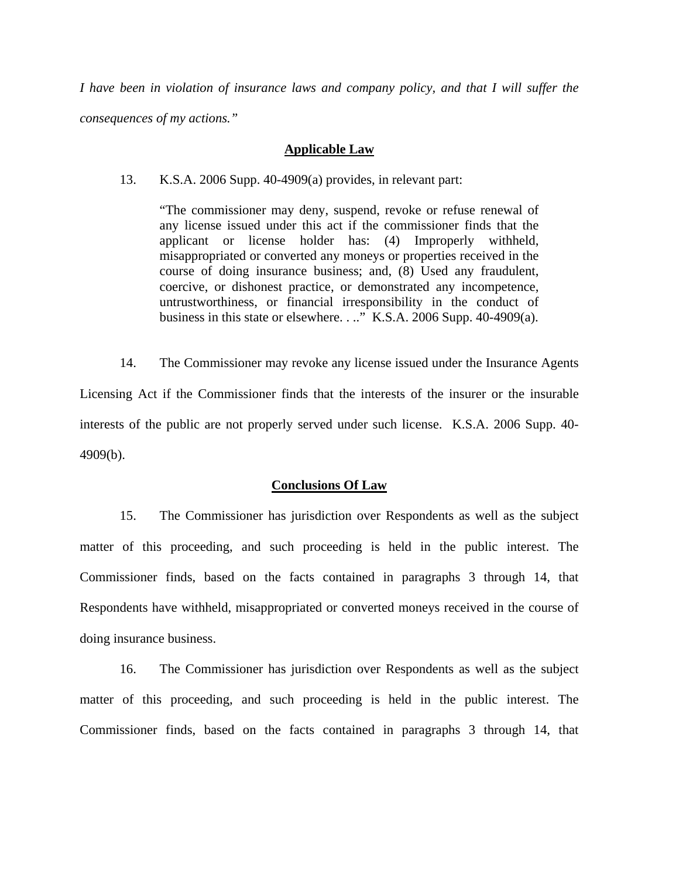*I have been in violation of insurance laws and company policy, and that I will suffer the consequences of my actions."*

#### **Applicable Law**

#### 13. K.S.A. 2006 Supp. 40-4909(a) provides, in relevant part:

"The commissioner may deny, suspend, revoke or refuse renewal of any license issued under this act if the commissioner finds that the applicant or license holder has: (4) Improperly withheld, misappropriated or converted any moneys or properties received in the course of doing insurance business; and, (8) Used any fraudulent, coercive, or dishonest practice, or demonstrated any incompetence, untrustworthiness, or financial irresponsibility in the conduct of business in this state or elsewhere. . .." K.S.A. 2006 Supp. 40-4909(a).

 14. The Commissioner may revoke any license issued under the Insurance Agents Licensing Act if the Commissioner finds that the interests of the insurer or the insurable interests of the public are not properly served under such license. K.S.A. 2006 Supp. 40- 4909(b).

#### **Conclusions Of Law**

 15. The Commissioner has jurisdiction over Respondents as well as the subject matter of this proceeding, and such proceeding is held in the public interest. The Commissioner finds, based on the facts contained in paragraphs 3 through 14, that Respondents have withheld, misappropriated or converted moneys received in the course of doing insurance business.

 16. The Commissioner has jurisdiction over Respondents as well as the subject matter of this proceeding, and such proceeding is held in the public interest. The Commissioner finds, based on the facts contained in paragraphs 3 through 14, that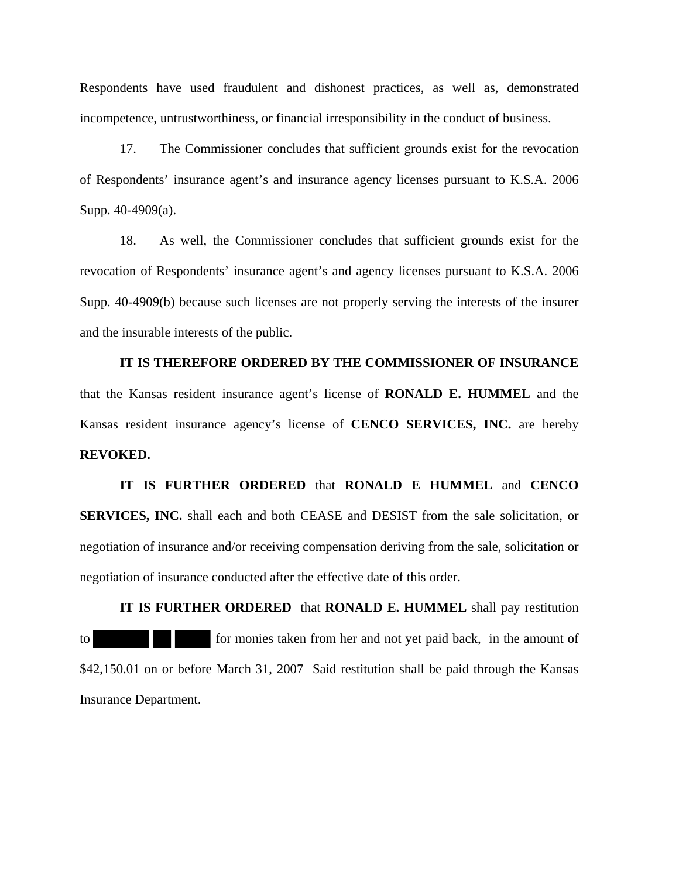Respondents have used fraudulent and dishonest practices, as well as, demonstrated incompetence, untrustworthiness, or financial irresponsibility in the conduct of business.

 17. The Commissioner concludes that sufficient grounds exist for the revocation of Respondents' insurance agent's and insurance agency licenses pursuant to K.S.A. 2006 Supp. 40-4909(a).

 18. As well, the Commissioner concludes that sufficient grounds exist for the revocation of Respondents' insurance agent's and agency licenses pursuant to K.S.A. 2006 Supp. 40-4909(b) because such licenses are not properly serving the interests of the insurer and the insurable interests of the public.

**IT IS THEREFORE ORDERED BY THE COMMISSIONER OF INSURANCE** that the Kansas resident insurance agent's license of **RONALD E. HUMMEL** and the Kansas resident insurance agency's license of **CENCO SERVICES, INC.** are hereby **REVOKED.**

**IT IS FURTHER ORDERED** that **RONALD E HUMMEL** and **CENCO SERVICES, INC.** shall each and both CEASE and DESIST from the sale solicitation, or negotiation of insurance and/or receiving compensation deriving from the sale, solicitation or negotiation of insurance conducted after the effective date of this order.

**IT IS FURTHER ORDERED** that **RONALD E. HUMMEL** shall pay restitution to for monies taken from her and not yet paid back, in the amount of \$42,150.01 on or before March 31, 2007 Said restitution shall be paid through the Kansas Insurance Department.